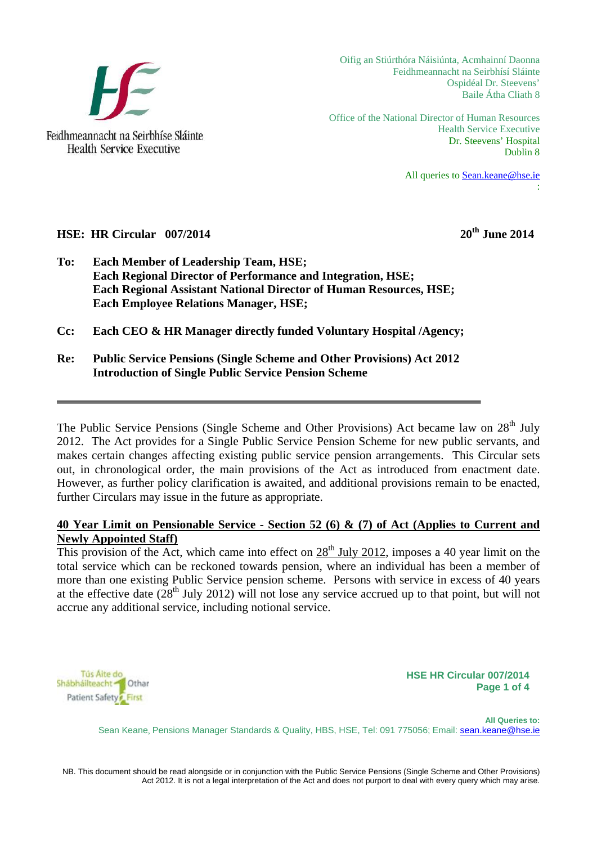

Oifig an Stiúrthóra Náisiúnta, Acmhainní Daonna Feidhmeannacht na Seirbhísí Sláinte Ospidéal Dr. Steevens' Baile Átha Cliath 8

Office of the National Director of Human Resources Health Service Executive Dr. Steevens' Hospital Dublin 8

> All queries to [Sean.keane@hse.ie](mailto:Sean.keane@hse.ie) :

#### **HSE:** HR Circular 007/2014 2014

- **To: Each Member of Leadership Team, HSE; Each Regional Director of Performance and Integration, HSE; Each Regional Assistant National Director of Human Resources, HSE; Each Employee Relations Manager, HSE;**
- **Cc: Each CEO & HR Manager directly funded Voluntary Hospital /Agency;**
- **Re: Public Service Pensions (Single Scheme and Other Provisions) Act 2012 Introduction of Single Public Service Pension Scheme**

The Public Service Pensions (Single Scheme and Other Provisions) Act became law on  $28<sup>th</sup>$  July 2012. The Act provides for a Single Public Service Pension Scheme for new public servants, and makes certain changes affecting existing public service pension arrangements. This Circular sets out, in chronological order, the main provisions of the Act as introduced from enactment date. However, as further policy clarification is awaited, and additional provisions remain to be enacted, further Circulars may issue in the future as appropriate.

#### **40 Year Limit on Pensionable Service - Section 52 (6) & (7) of Act (Applies to Current and Newly Appointed Staff)**

This provision of the Act, which came into effect on  $28<sup>th</sup>$  July 2012, imposes a 40 year limit on the total service which can be reckoned towards pension, where an individual has been a member of more than one existing Public Service pension scheme. Persons with service in excess of 40 years at the effective date  $(28<sup>th</sup>$  July 2012) will not lose any service accrued up to that point, but will not accrue any additional service, including notional service.



**HSE HR Circular 007/2014 Page 1 of 4**

 **All Queries to:** Sean Keane, Pensions Manager Standards & Quality, HBS, HSE, Tel: 091 775056; Email: sean.keane@hse.ie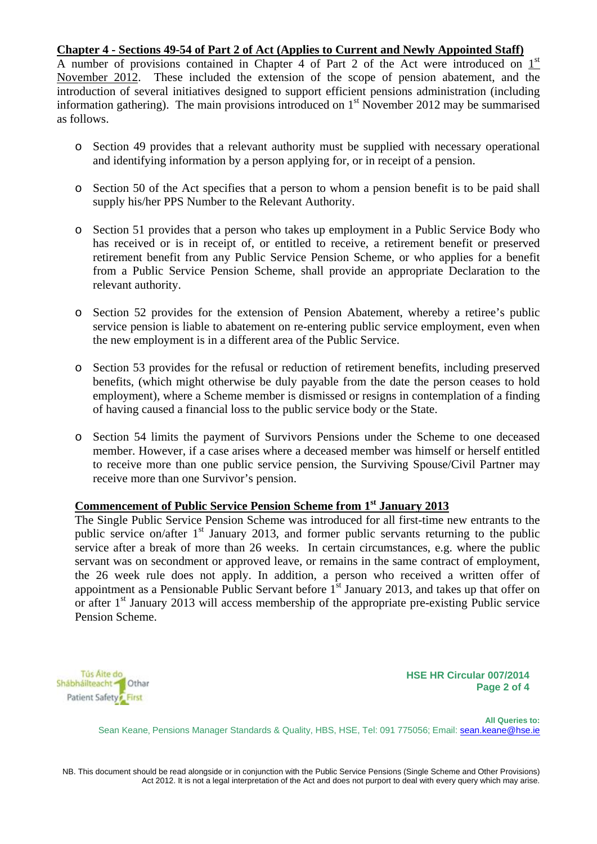#### **Chapter 4 - Sections 49-54 of Part 2 of Act (Applies to Current and Newly Appointed Staff)**

A number of provisions contained in Chapter 4 of Part 2 of the Act were introduced on  $1<sup>st</sup>$ November 2012. These included the extension of the scope of pension abatement, and the introduction of several initiatives designed to support efficient pensions administration (including information gathering). The main provisions introduced on  $1<sup>st</sup>$  November 2012 may be summarised as follows.

- o Section 49 provides that a relevant authority must be supplied with necessary operational and identifying information by a person applying for, or in receipt of a pension.
- o Section 50 of the Act specifies that a person to whom a pension benefit is to be paid shall supply his/her PPS Number to the Relevant Authority.
- o Section 51 provides that a person who takes up employment in a Public Service Body who has received or is in receipt of, or entitled to receive, a retirement benefit or preserved retirement benefit from any Public Service Pension Scheme, or who applies for a benefit from a Public Service Pension Scheme, shall provide an appropriate Declaration to the relevant authority.
- o Section 52 provides for the extension of Pension Abatement, whereby a retiree's public service pension is liable to abatement on re-entering public service employment, even when the new employment is in a different area of the Public Service.
- o Section 53 provides for the refusal or reduction of retirement benefits, including preserved benefits, (which might otherwise be duly payable from the date the person ceases to hold employment), where a Scheme member is dismissed or resigns in contemplation of a finding of having caused a financial loss to the public service body or the State.
- o Section 54 limits the payment of Survivors Pensions under the Scheme to one deceased member. However, if a case arises where a deceased member was himself or herself entitled to receive more than one public service pension, the Surviving Spouse/Civil Partner may receive more than one Survivor's pension.

#### **Commencement of Public Service Pension Scheme from 1st January 2013**

The Single Public Service Pension Scheme was introduced for all first-time new entrants to the public service on/after  $1<sup>st</sup>$  January 2013, and former public servants returning to the public service after a break of more than 26 weeks. In certain circumstances, e.g. where the public servant was on secondment or approved leave, or remains in the same contract of employment, the 26 week rule does not apply. In addition, a person who received a written offer of appointment as a Pensionable Public Servant before  $1<sup>st</sup>$  January 2013, and takes up that offer on or after  $1<sup>st</sup>$  January 2013 will access membership of the appropriate pre-existing Public service Pension Scheme.



**HSE HR Circular 007/2014 Page 2 of 4**

 **All Queries to:** Sean Keane, Pensions Manager Standards & Quality, HBS, HSE, Tel: 091 775056; Email: sean.keane@hse.ie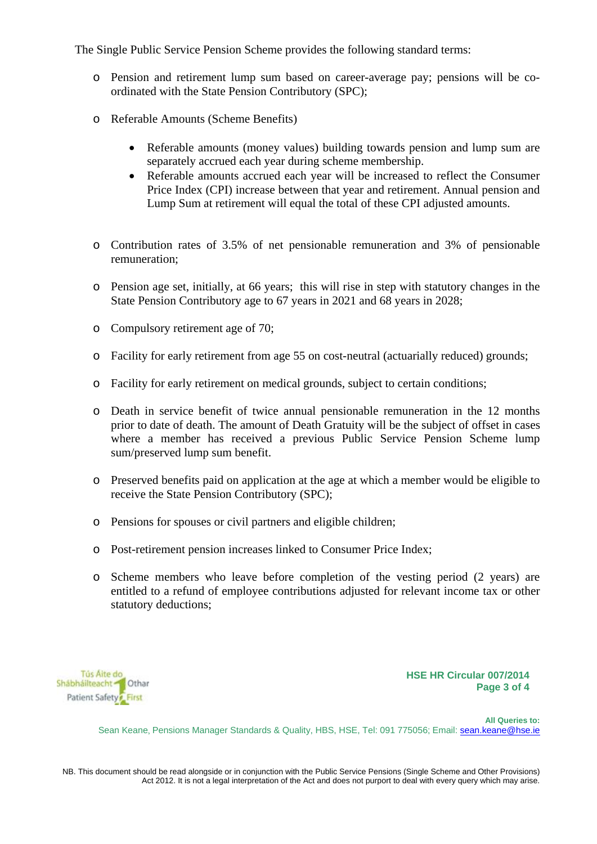The Single Public Service Pension Scheme provides the following standard terms:

- o Pension and retirement lump sum based on career-average pay; pensions will be coordinated with the State Pension Contributory (SPC);
- o Referable Amounts (Scheme Benefits)
	- Referable amounts (money values) building towards pension and lump sum are separately accrued each year during scheme membership.
	- Referable amounts accrued each year will be increased to reflect the Consumer Price Index (CPI) increase between that year and retirement. Annual pension and Lump Sum at retirement will equal the total of these CPI adjusted amounts.
- o Contribution rates of 3.5% of net pensionable remuneration and 3% of pensionable remuneration;
- o Pension age set, initially, at 66 years; this will rise in step with statutory changes in the State Pension Contributory age to 67 years in 2021 and 68 years in 2028;
- o Compulsory retirement age of 70;
- o Facility for early retirement from age 55 on cost-neutral (actuarially reduced) grounds;
- o Facility for early retirement on medical grounds, subject to certain conditions;
- o Death in service benefit of twice annual pensionable remuneration in the 12 months prior to date of death. The amount of Death Gratuity will be the subject of offset in cases where a member has received a previous Public Service Pension Scheme lump sum/preserved lump sum benefit.
- o Preserved benefits paid on application at the age at which a member would be eligible to receive the State Pension Contributory (SPC);
- o Pensions for spouses or civil partners and eligible children;
- o Post-retirement pension increases linked to Consumer Price Index;
- o Scheme members who leave before completion of the vesting period (2 years) are entitled to a refund of employee contributions adjusted for relevant income tax or other statutory deductions;



**HSE HR Circular 007/2014 Page 3 of 4**

 **All Queries to:** Sean Keane, Pensions Manager Standards & Quality, HBS, HSE, Tel: 091 775056; Email: sean.keane@hse.ie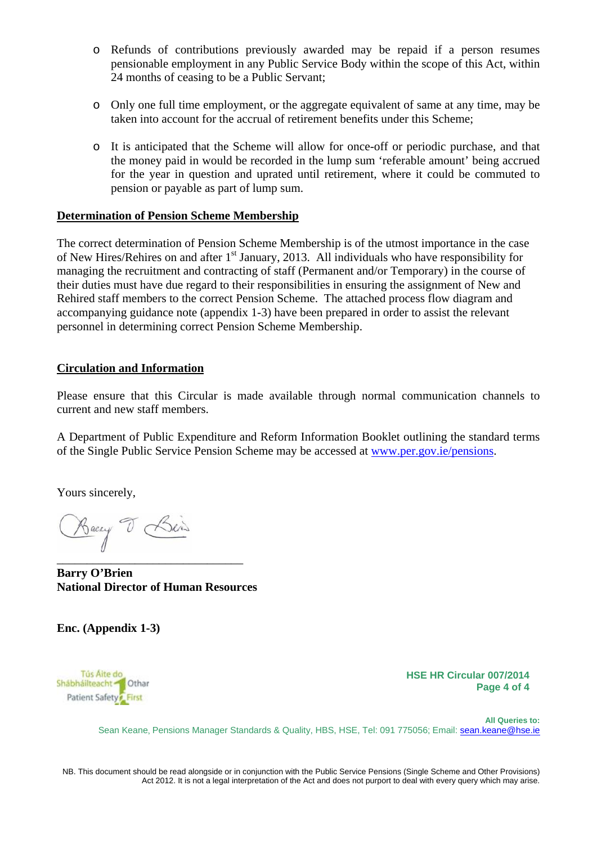- o Refunds of contributions previously awarded may be repaid if a person resumes pensionable employment in any Public Service Body within the scope of this Act, within 24 months of ceasing to be a Public Servant;
- o Only one full time employment, or the aggregate equivalent of same at any time, may be taken into account for the accrual of retirement benefits under this Scheme;
- o It is anticipated that the Scheme will allow for once-off or periodic purchase, and that the money paid in would be recorded in the lump sum 'referable amount' being accrued for the year in question and uprated until retirement, where it could be commuted to pension or payable as part of lump sum.

#### **Determination of Pension Scheme Membership**

The correct determination of Pension Scheme Membership is of the utmost importance in the case of New Hires/Rehires on and after 1<sup>st</sup> January, 2013. All individuals who have responsibility for managing the recruitment and contracting of staff (Permanent and/or Temporary) in the course of their duties must have due regard to their responsibilities in ensuring the assignment of New and Rehired staff members to the correct Pension Scheme. The attached process flow diagram and accompanying guidance note (appendix 1-3) have been prepared in order to assist the relevant personnel in determining correct Pension Scheme Membership.

#### **Circulation and Information**

Please ensure that this Circular is made available through normal communication channels to current and new staff members.

A Department of Public Expenditure and Reform Information Booklet outlining the standard terms of the Single Public Service Pension Scheme may be accessed at [www.per.gov.ie/pensions.](http://www.per.gov.ie/pensions)

Yours sincerely,

Backy T Beins

**Barry O'Brien National Director of Human Resources** 

\_\_\_\_\_\_\_\_\_\_\_\_\_\_\_\_\_\_\_\_\_\_\_\_\_\_\_\_\_\_\_

**Enc. (Appendix 1-3)** 



**HSE HR Circular 007/2014 Page 4 of 4**

 **All Queries to:** Sean Keane, Pensions Manager Standards & Quality, HBS, HSE, Tel: 091 775056; Email: sean.keane@hse.ie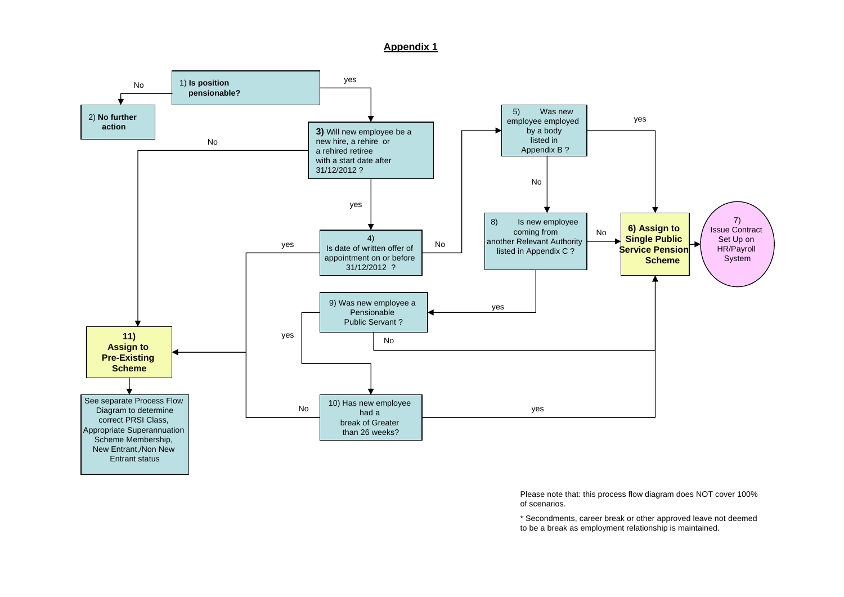**Appendix 1**



Please note that: this process flow diagram does NOT cover 100% of scenarios.

\* Secondments, career break or other approved leave not deemed to be a break as employment relationship is maintained.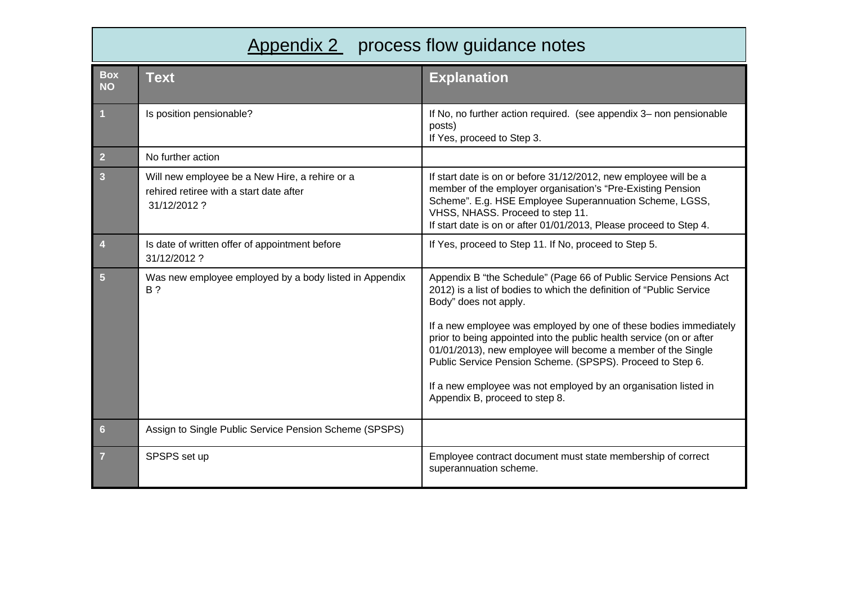# Appendix 2 process flow guidance notes

| <b>Box</b><br><b>NO</b> | <b>Text</b>                                                                                              | <b>Explanation</b>                                                                                                                                                                                                                                                                                                                                                                                                                                                                                                                                 |
|-------------------------|----------------------------------------------------------------------------------------------------------|----------------------------------------------------------------------------------------------------------------------------------------------------------------------------------------------------------------------------------------------------------------------------------------------------------------------------------------------------------------------------------------------------------------------------------------------------------------------------------------------------------------------------------------------------|
| $\overline{1}$          | Is position pensionable?                                                                                 | If No, no further action required. (see appendix 3- non pensionable<br>posts)<br>If Yes, proceed to Step 3.                                                                                                                                                                                                                                                                                                                                                                                                                                        |
| $\overline{2}$          | No further action                                                                                        |                                                                                                                                                                                                                                                                                                                                                                                                                                                                                                                                                    |
| $\mathbf{3}$            | Will new employee be a New Hire, a rehire or a<br>rehired retiree with a start date after<br>31/12/2012? | If start date is on or before 31/12/2012, new employee will be a<br>member of the employer organisation's "Pre-Existing Pension<br>Scheme". E.g. HSE Employee Superannuation Scheme, LGSS,<br>VHSS, NHASS. Proceed to step 11.<br>If start date is on or after 01/01/2013, Please proceed to Step 4.                                                                                                                                                                                                                                               |
| $\overline{4}$          | Is date of written offer of appointment before<br>31/12/2012?                                            | If Yes, proceed to Step 11. If No, proceed to Step 5.                                                                                                                                                                                                                                                                                                                                                                                                                                                                                              |
| $5\phantom{.}$          | Was new employee employed by a body listed in Appendix<br><b>B</b> ?                                     | Appendix B "the Schedule" (Page 66 of Public Service Pensions Act<br>2012) is a list of bodies to which the definition of "Public Service<br>Body" does not apply.<br>If a new employee was employed by one of these bodies immediately<br>prior to being appointed into the public health service (on or after<br>01/01/2013), new employee will become a member of the Single<br>Public Service Pension Scheme. (SPSPS). Proceed to Step 6.<br>If a new employee was not employed by an organisation listed in<br>Appendix B, proceed to step 8. |
| $6\phantom{1}$          | Assign to Single Public Service Pension Scheme (SPSPS)                                                   |                                                                                                                                                                                                                                                                                                                                                                                                                                                                                                                                                    |
| $\overline{7}$          | SPSPS set up                                                                                             | Employee contract document must state membership of correct<br>superannuation scheme.                                                                                                                                                                                                                                                                                                                                                                                                                                                              |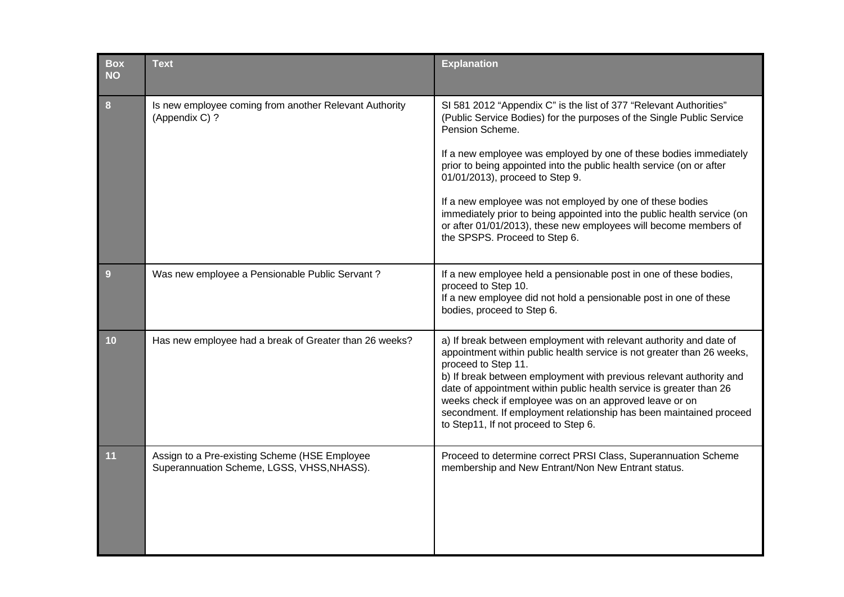| <b>Box</b><br><b>NO</b> | <b>Text</b>                                                                                 | <b>Explanation</b>                                                                                                                                                                                                                                                                                                                                                                                                                                                                                                                                                                          |
|-------------------------|---------------------------------------------------------------------------------------------|---------------------------------------------------------------------------------------------------------------------------------------------------------------------------------------------------------------------------------------------------------------------------------------------------------------------------------------------------------------------------------------------------------------------------------------------------------------------------------------------------------------------------------------------------------------------------------------------|
| $\boldsymbol{8}$        | Is new employee coming from another Relevant Authority<br>(Appendix C) ?                    | SI 581 2012 "Appendix C" is the list of 377 "Relevant Authorities"<br>(Public Service Bodies) for the purposes of the Single Public Service<br>Pension Scheme.<br>If a new employee was employed by one of these bodies immediately<br>prior to being appointed into the public health service (on or after<br>01/01/2013), proceed to Step 9.<br>If a new employee was not employed by one of these bodies<br>immediately prior to being appointed into the public health service (on<br>or after 01/01/2013), these new employees will become members of<br>the SPSPS. Proceed to Step 6. |
| 9                       | Was new employee a Pensionable Public Servant?                                              | If a new employee held a pensionable post in one of these bodies,<br>proceed to Step 10.<br>If a new employee did not hold a pensionable post in one of these<br>bodies, proceed to Step 6.                                                                                                                                                                                                                                                                                                                                                                                                 |
| 10                      | Has new employee had a break of Greater than 26 weeks?                                      | a) If break between employment with relevant authority and date of<br>appointment within public health service is not greater than 26 weeks,<br>proceed to Step 11.<br>b) If break between employment with previous relevant authority and<br>date of appointment within public health service is greater than 26<br>weeks check if employee was on an approved leave or on<br>secondment. If employment relationship has been maintained proceed<br>to Step11, If not proceed to Step 6.                                                                                                   |
| 11                      | Assign to a Pre-existing Scheme (HSE Employee<br>Superannuation Scheme, LGSS, VHSS, NHASS). | Proceed to determine correct PRSI Class, Superannuation Scheme<br>membership and New Entrant/Non New Entrant status.                                                                                                                                                                                                                                                                                                                                                                                                                                                                        |